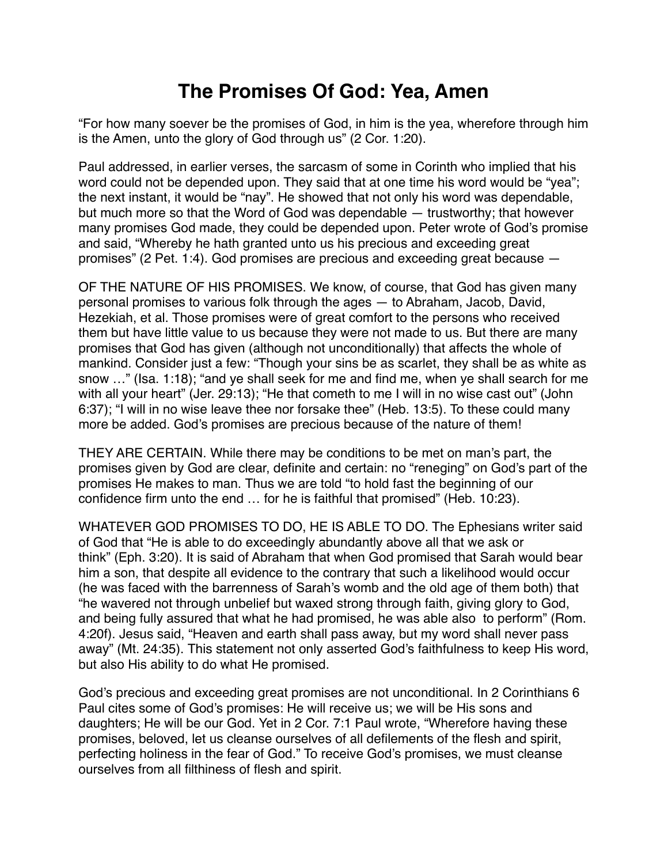## **The Promises Of God: Yea, Amen**

"For how many soever be the promises of God, in him is the yea, wherefore through him is the Amen, unto the glory of God through us" (2 Cor. 1:20).

Paul addressed, in earlier verses, the sarcasm of some in Corinth who implied that his word could not be depended upon. They said that at one time his word would be "yea"; the next instant, it would be "nay". He showed that not only his word was dependable, but much more so that the Word of God was dependable — trustworthy; that however many promises God made, they could be depended upon. Peter wrote of God's promise and said, "Whereby he hath granted unto us his precious and exceeding great promises" (2 Pet. 1:4). God promises are precious and exceeding great because —

OF THE NATURE OF HIS PROMISES. We know, of course, that God has given many personal promises to various folk through the ages — to Abraham, Jacob, David, Hezekiah, et al. Those promises were of great comfort to the persons who received them but have little value to us because they were not made to us. But there are many promises that God has given (although not unconditionally) that affects the whole of mankind. Consider just a few: "Though your sins be as scarlet, they shall be as white as snow …" (Isa. 1:18); "and ye shall seek for me and find me, when ye shall search for me with all your heart" (Jer. 29:13); "He that cometh to me I will in no wise cast out" (John 6:37); "I will in no wise leave thee nor forsake thee" (Heb. 13:5). To these could many more be added. God's promises are precious because of the nature of them!

THEY ARE CERTAIN. While there may be conditions to be met on man's part, the promises given by God are clear, definite and certain: no "reneging" on God's part of the promises He makes to man. Thus we are told "to hold fast the beginning of our confidence firm unto the end … for he is faithful that promised" (Heb. 10:23).

WHATEVER GOD PROMISES TO DO, HE IS ABLE TO DO. The Ephesians writer said of God that "He is able to do exceedingly abundantly above all that we ask or think" (Eph. 3:20). It is said of Abraham that when God promised that Sarah would bear him a son, that despite all evidence to the contrary that such a likelihood would occur (he was faced with the barrenness of Sarah's womb and the old age of them both) that "he wavered not through unbelief but waxed strong through faith, giving glory to God, and being fully assured that what he had promised, he was able also to perform" (Rom. 4:20f). Jesus said, "Heaven and earth shall pass away, but my word shall never pass away" (Mt. 24:35). This statement not only asserted God's faithfulness to keep His word, but also His ability to do what He promised.

God's precious and exceeding great promises are not unconditional. In 2 Corinthians 6 Paul cites some of God's promises: He will receive us; we will be His sons and daughters; He will be our God. Yet in 2 Cor. 7:1 Paul wrote, "Wherefore having these promises, beloved, let us cleanse ourselves of all defilements of the flesh and spirit, perfecting holiness in the fear of God." To receive God's promises, we must cleanse ourselves from all filthiness of flesh and spirit.